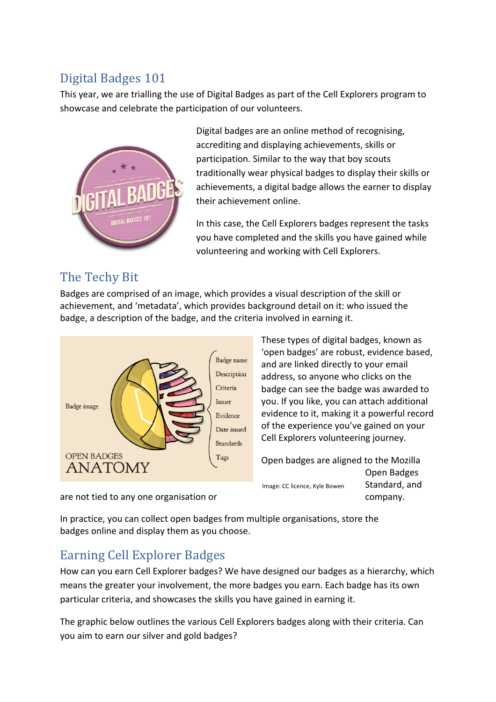## Digital Badges 101

This year, we are trialling the use of Digital Badges as part of the Cell Explorers program to showcase and celebrate the participation of our volunteers.



Digital badges are an online method of recognising, accrediting and displaying achievements, skills or participation. Similar to the way that boy scouts traditionally wear physical badges to display their skills or achievements, a digital badge allows the earner to display their achievement online.

In this case, the Cell Explorers badges represent the tasks you have completed and the skills you have gained while volunteering and working with Cell Explorers.

### The Techy Bit

Badges are comprised of an image, which provides a visual description of the skill or achievement, and 'metadata', which provides background detail on it: who issued the badge, a description of the badge, and the criteria involved in earning it.



These types of digital badges, known as 'open badges' are robust, evidence based, and are linked directly to your email address, so anyone who clicks on the badge can see the badge was awarded to you. If you like, you can attach additional evidence to it, making it a powerful record of the experience you've gained on your Cell Explorers volunteering journey.

Open badges are aligned to the Mozilla Open Badges Standard, and Image: CC licence, Kyle Bowen

are not tied to any one organisation or example the company.

In practice, you can collect open badges from multiple organisations, store the badges online and display them as you choose.

# Earning Cell Explorer Badges

How can you earn Cell Explorer badges? We have designed our badges as a hierarchy, which means the greater your involvement, the more badges you earn. Each badge has its own particular criteria, and showcases the skills you have gained in earning it.

The graphic below outlines the various Cell Explorers badges along with their criteria. Can you aim to earn our silver and gold badges?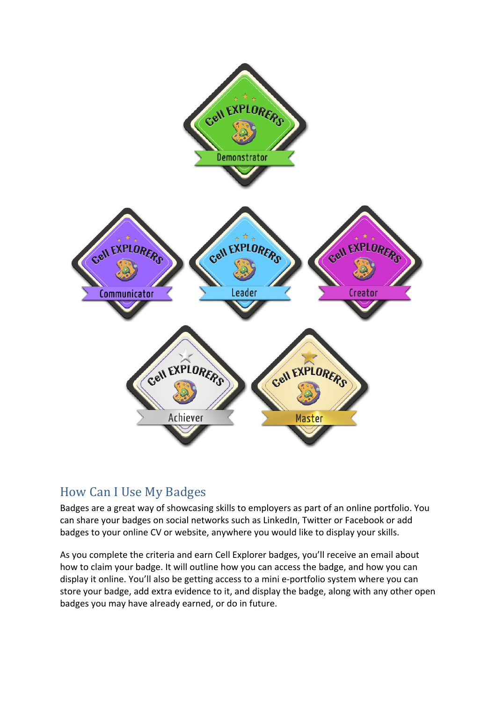

#### How Can I Use My Badges

Badges are a great way of showcasing skills to employers as part of an online portfolio. You can share your badges on social networks such as LinkedIn, Twitter or Facebook or add badges to your online CV or website, anywhere you would like to display your skills.

As you complete the criteria and earn Cell Explorer badges, you'll receive an email about how to claim your badge. It will outline how you can access the badge, and how you can display it online. You'll also be getting access to a mini e-portfolio system where you can store your badge, add extra evidence to it, and display the badge, along with any other open badges you may have already earned, or do in future.